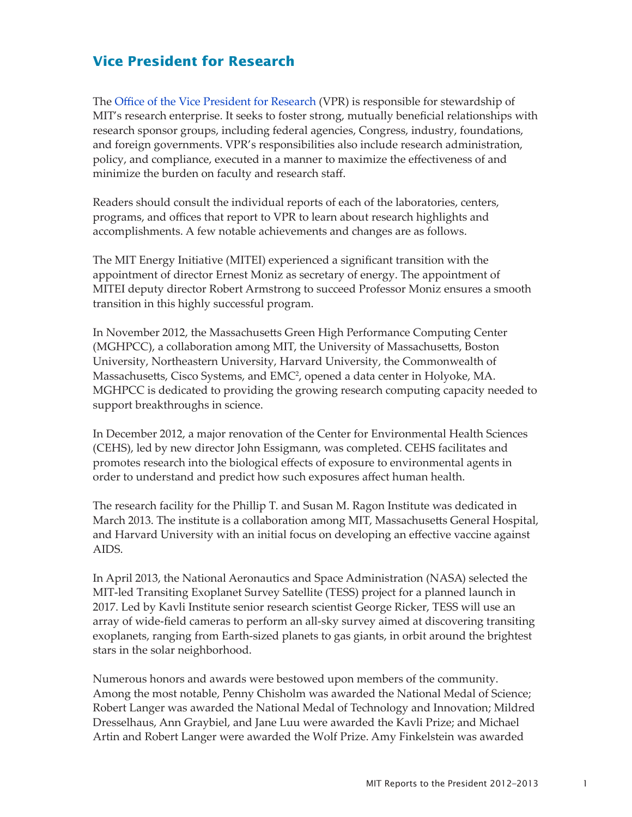## **Vice President for Research**

The [Office of the Vice President for Research](http://orgchart.mit.edu/vice-president-research) (VPR) is responsible for stewardship of MIT's research enterprise. It seeks to foster strong, mutually beneficial relationships with research sponsor groups, including federal agencies, Congress, industry, foundations, and foreign governments. VPR's responsibilities also include research administration, policy, and compliance, executed in a manner to maximize the effectiveness of and minimize the burden on faculty and research staff.

Readers should consult the individual reports of each of the laboratories, centers, programs, and offices that report to VPR to learn about research highlights and accomplishments. A few notable achievements and changes are as follows.

The MIT Energy Initiative (MITEI) experienced a significant transition with the appointment of director Ernest Moniz as secretary of energy. The appointment of MITEI deputy director Robert Armstrong to succeed Professor Moniz ensures a smooth transition in this highly successful program.

In November 2012, the Massachusetts Green High Performance Computing Center (MGHPCC), a collaboration among MIT, the University of Massachusetts, Boston University, Northeastern University, Harvard University, the Commonwealth of Massachusetts, Cisco Systems, and EMC2 , opened a data center in Holyoke, MA. MGHPCC is dedicated to providing the growing research computing capacity needed to support breakthroughs in science.

In December 2012, a major renovation of the Center for Environmental Health Sciences (CEHS), led by new director John Essigmann, was completed. CEHS facilitates and promotes research into the biological effects of exposure to environmental agents in order to understand and predict how such exposures affect human health.

The research facility for the Phillip T. and Susan M. Ragon Institute was dedicated in March 2013. The institute is a collaboration among MIT, Massachusetts General Hospital, and Harvard University with an initial focus on developing an effective vaccine against AIDS.

In April 2013, the National Aeronautics and Space Administration (NASA) selected the MIT-led Transiting Exoplanet Survey Satellite (TESS) project for a planned launch in 2017. Led by Kavli Institute senior research scientist George Ricker, TESS will use an array of wide-field cameras to perform an all-sky survey aimed at discovering transiting exoplanets, ranging from Earth-sized planets to gas giants, in orbit around the brightest stars in the solar neighborhood.

Numerous honors and awards were bestowed upon members of the community. Among the most notable, Penny Chisholm was awarded the National Medal of Science; Robert Langer was awarded the National Medal of Technology and Innovation; Mildred Dresselhaus, Ann Graybiel, and Jane Luu were awarded the Kavli Prize; and Michael Artin and Robert Langer were awarded the Wolf Prize. Amy Finkelstein was awarded